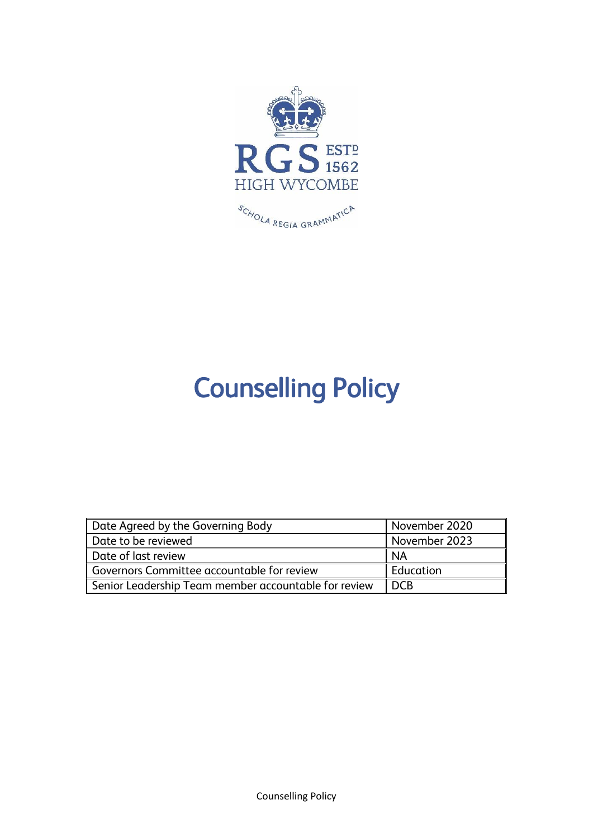

# Counselling Policy

| Date Agreed by the Governing Body                    | November 2020    |
|------------------------------------------------------|------------------|
| Date to be reviewed                                  | November 2023    |
| Date of last review                                  | l NA             |
| Governors Committee accountable for review           | <b>Education</b> |
| Senior Leadership Team member accountable for review | l DCB            |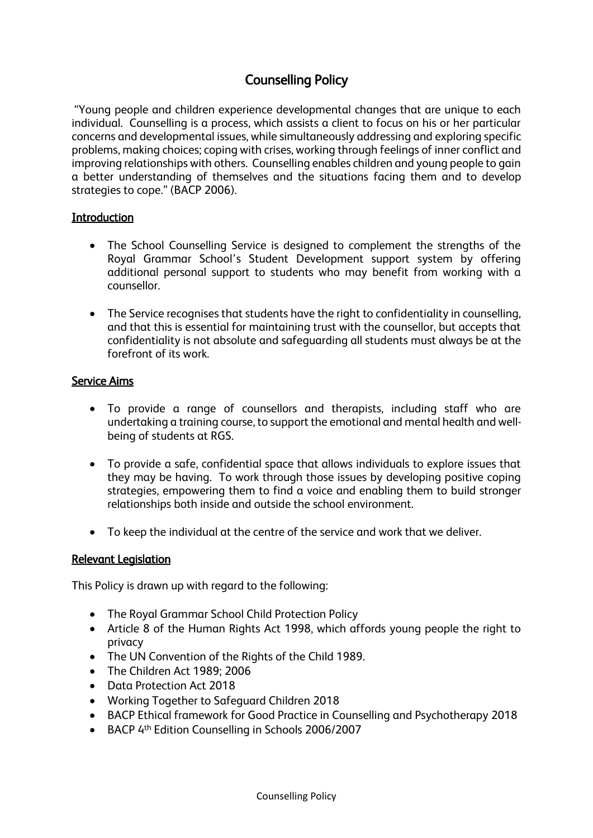# Counselling Policy

"Young people and children experience developmental changes that are unique to each individual. Counselling is a process, which assists a client to focus on his or her particular concerns and developmental issues, while simultaneously addressing and exploring specific problems, making choices; coping with crises, working through feelings of inner conflict and improving relationships with others. Counselling enables children and young people to gain a better understanding of themselves and the situations facing them and to develop strategies to cope." (BACP 2006).

#### **Introduction**

- The School Counselling Service is designed to complement the strengths of the Royal Grammar School's Student Development support system by offering additional personal support to students who may benefit from working with a counsellor.
- The Service recognises that students have the right to confidentiality in counselling, and that this is essential for maintaining trust with the counsellor, but accepts that confidentiality is not absolute and safeguarding all students must always be at the forefront of its work.

#### Service Aims

- To provide a range of counsellors and therapists, including staff who are undertaking a training course, to support the emotional and mental health and wellbeing of students at RGS.
- To provide a safe, confidential space that allows individuals to explore issues that they may be having. To work through those issues by developing positive coping strategies, empowering them to find a voice and enabling them to build stronger relationships both inside and outside the school environment.
- To keep the individual at the centre of the service and work that we deliver.

#### Relevant Legislation

This Policy is drawn up with regard to the following:

- The Royal Grammar School Child Protection Policy
- Article 8 of the Human Rights Act 1998, which affords young people the right to privacy
- The UN Convention of the Rights of the Child 1989.
- The Children Act 1989: 2006
- Data Protection Act 2018
- Working Together to Safeguard Children 2018
- BACP Ethical framework for Good Practice in Counselling and Psychotherapy 2018
- BACP 4<sup>th</sup> Edition Counselling in Schools 2006/2007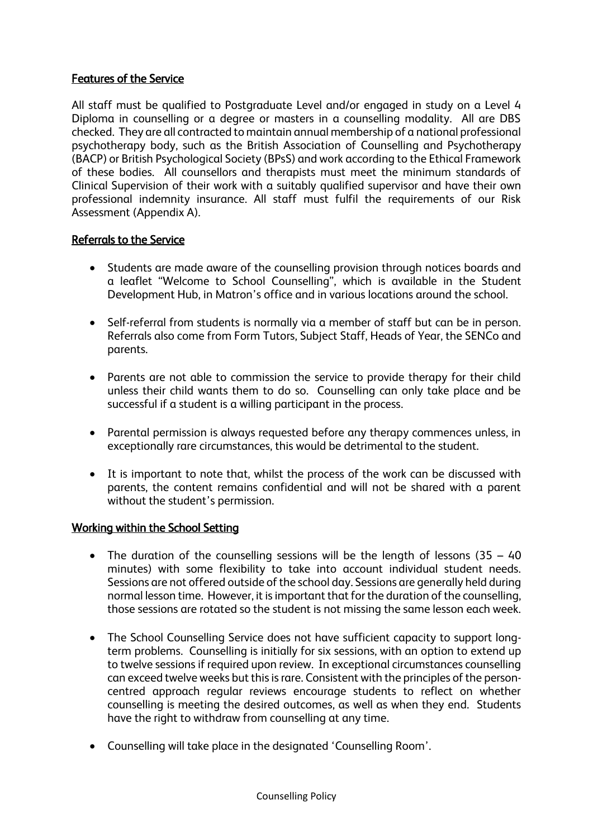# Features of the Service

All staff must be qualified to Postgraduate Level and/or engaged in study on a Level 4 Diploma in counselling or a degree or masters in a counselling modality. All are DBS checked. They are all contracted to maintain annual membership of a national professional psychotherapy body, such as the British Association of Counselling and Psychotherapy (BACP) or British Psychological Society (BPsS) and work according to the Ethical Framework of these bodies. All counsellors and therapists must meet the minimum standards of Clinical Supervision of their work with a suitably qualified supervisor and have their own professional indemnity insurance. All staff must fulfil the requirements of our Risk Assessment (Appendix A).

### Referrals to the Service

- Students are made aware of the counselling provision through notices boards and a leaflet "Welcome to School Counselling", which is available in the Student Development Hub, in Matron's office and in various locations around the school.
- Self-referral from students is normally via a member of staff but can be in person. Referrals also come from Form Tutors, Subject Staff, Heads of Year, the SENCo and parents.
- Parents are not able to commission the service to provide therapy for their child unless their child wants them to do so. Counselling can only take place and be successful if a student is a willing participant in the process.
- Parental permission is always requested before any therapy commences unless, in exceptionally rare circumstances, this would be detrimental to the student.
- It is important to note that, whilst the process of the work can be discussed with parents, the content remains confidential and will not be shared with a parent without the student's permission.

### Working within the School Setting

- The duration of the counselling sessions will be the length of lessons (35 40 minutes) with some flexibility to take into account individual student needs. Sessions are not offered outside of the school day. Sessions are generally held during normal lesson time. However, it is important that for the duration of the counselling, those sessions are rotated so the student is not missing the same lesson each week.
- The School Counselling Service does not have sufficient capacity to support longterm problems. Counselling is initially for six sessions, with an option to extend up to twelve sessions if required upon review. In exceptional circumstances counselling can exceed twelve weeks but this is rare. Consistent with the principles of the personcentred approach regular reviews encourage students to reflect on whether counselling is meeting the desired outcomes, as well as when they end. Students have the right to withdraw from counselling at any time.
- Counselling will take place in the designated 'Counselling Room'.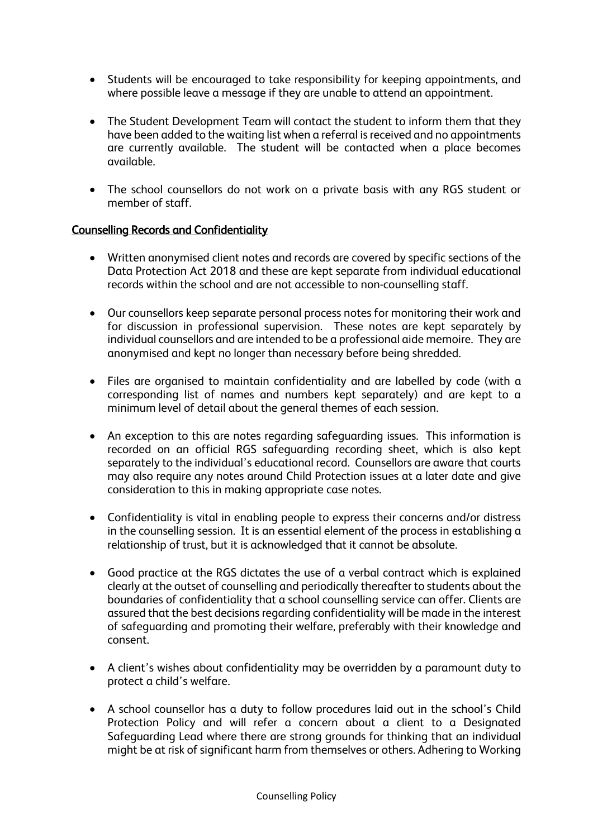- Students will be encouraged to take responsibility for keeping appointments, and where possible leave a message if they are unable to attend an appointment.
- The Student Development Team will contact the student to inform them that they have been added to the waiting list when a referral is received and no appointments are currently available. The student will be contacted when a place becomes available.
- The school counsellors do not work on a private basis with any RGS student or member of staff.

# Counselling Records and Confidentiality

- Written anonymised client notes and records are covered by specific sections of the Data Protection Act 2018 and these are kept separate from individual educational records within the school and are not accessible to non-counselling staff.
- Our counsellors keep separate personal process notes for monitoring their work and for discussion in professional supervision. These notes are kept separately by individual counsellors and are intended to be a professional aide memoire. They are anonymised and kept no longer than necessary before being shredded.
- Files are organised to maintain confidentiality and are labelled by code (with a corresponding list of names and numbers kept separately) and are kept to a minimum level of detail about the general themes of each session.
- An exception to this are notes regarding safeguarding issues. This information is recorded on an official RGS safeguarding recording sheet, which is also kept separately to the individual's educational record. Counsellors are aware that courts may also require any notes around Child Protection issues at a later date and give consideration to this in making appropriate case notes.
- Confidentiality is vital in enabling people to express their concerns and/or distress in the counselling session. It is an essential element of the process in establishing a relationship of trust, but it is acknowledged that it cannot be absolute.
- Good practice at the RGS dictates the use of a verbal contract which is explained clearly at the outset of counselling and periodically thereafter to students about the boundaries of confidentiality that a school counselling service can offer. Clients are assured that the best decisions regarding confidentiality will be made in the interest of safeguarding and promoting their welfare, preferably with their knowledge and consent.
- A client's wishes about confidentiality may be overridden by a paramount duty to protect a child's welfare.
- A school counsellor has a duty to follow procedures laid out in the school's Child Protection Policy and will refer a concern about a client to a Designated Safeguarding Lead where there are strong grounds for thinking that an individual might be at risk of significant harm from themselves or others. Adhering to Working